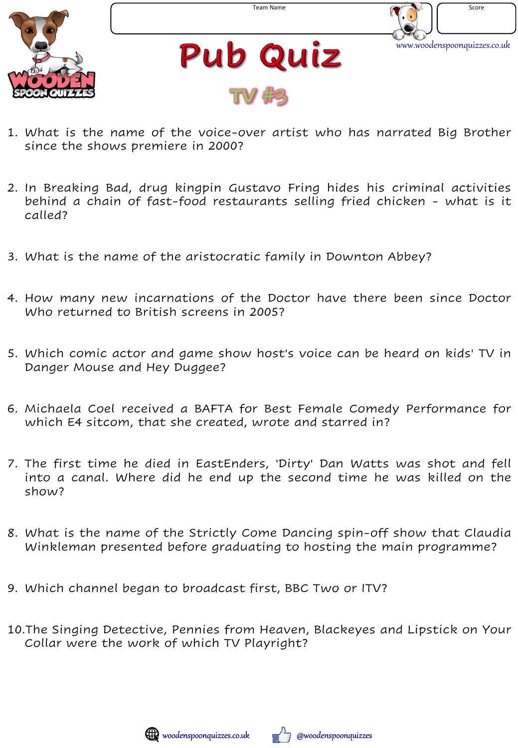



**Pub Quiz TV** #3

- 1. What is the name of the voice-over artist who has narrated Big Brother since the shows premiere in 2000?
- 2. In Breaking Bad, drug kingpin Gustavo Fring hides his criminal activities behind a chain of fast-food restaurants selling fried chicken - what is it called?
- 3. What is the name of the aristocratic family in Downton Abbey?
- 4. How many new incarnations of the Doctor have there been since Doctor Who returned to British screens in 2005?
- 5. Which comic actor and game show host's voice can be heard on kids' TV in Danger Mouse and Hey Duggee?
- 6. Michaela Coel received a BAFTA for Best Female Comedy Performance for which E4 sitcom, that she created, wrote and starred in?
- 7. The first time he died in EastEnders, 'Dirty' Dan Watts was shot and fell into a canal. Where did he end up the second time he was killed on the show?
- 8. What is the name of the Strictly Come Dancing spin-off show that Claudia Winkleman presented before graduating to hosting the main programme?
- 9. Which channel began to broadcast first, BBC Two or ITV?
- 10.The Singing Detective, Pennies from Heaven, Blackeyes and Lipstick on Your Collar were the work of which TV Playright?